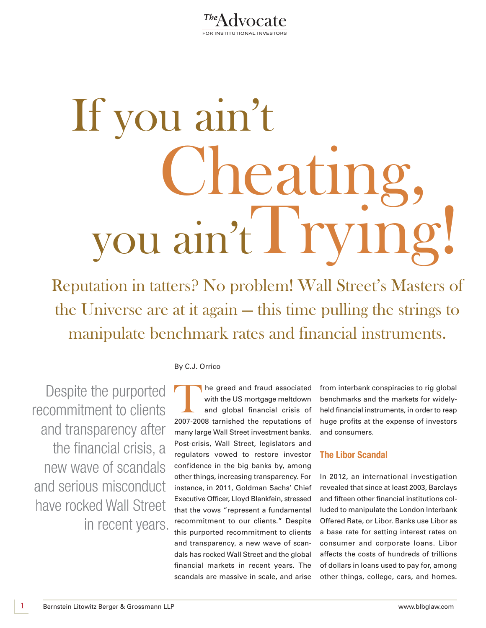

# If you ain't Cheating,<br>you ain't Trying!

Reputation in tatters? No problem! Wall Street's Masters of the Universe are at it again — this time pulling the strings to manipulate benchmark rates and financial instruments.

Despite the purported recommitment to clients and transparency after the financial crisis, a new wave of scandals and serious misconduct have rocked Wall Street in recent years.

### By C.J. Orrico

he greed and fraud associated with the US mortgage meltdown and global financial crisis of 2007-2008 tarnished the reputations of many large Wall Street investment banks. Post-crisis, Wall Street, legislators and regulators vowed to restore investor confidence in the big banks by, among other things, increasing transparency. For instance, in 2011, Goldman Sachs' Chief Executive Officer, Lloyd Blankfein, stressed that the vows "represent a fundamental recommitment to our clients." Despite this purported recommitment to clients and transparency, a new wave of scandals has rocked Wall Street and the global financial markets in recent years. The scandals are massive in scale, and arise

from interbank conspiracies to rig global benchmarks and the markets for widelyheld financial instruments, in order to reap huge profits at the expense of investors and consumers.

## **The Libor Scandal**

In 2012, an international investigation revealed that since at least 2003, Barclays and fifteen other financial institutions colluded to manipulate the London Interbank Offered Rate, or Libor. Banks use Libor as a base rate for setting interest rates on consumer and corporate loans. Libor affects the costs of hundreds of trillions of dollars in loans used to pay for, among other things, college, cars, and homes.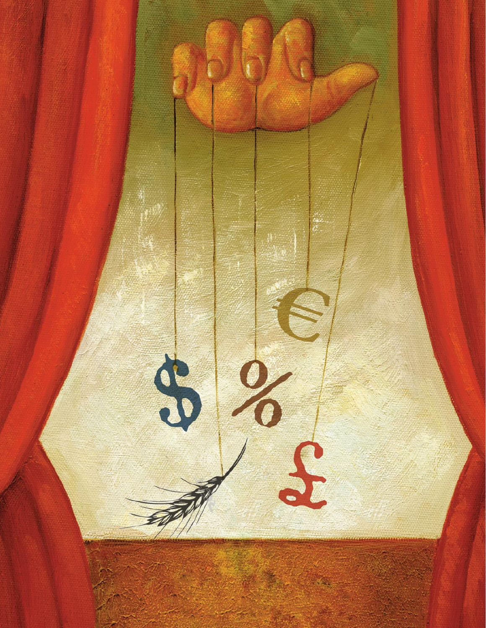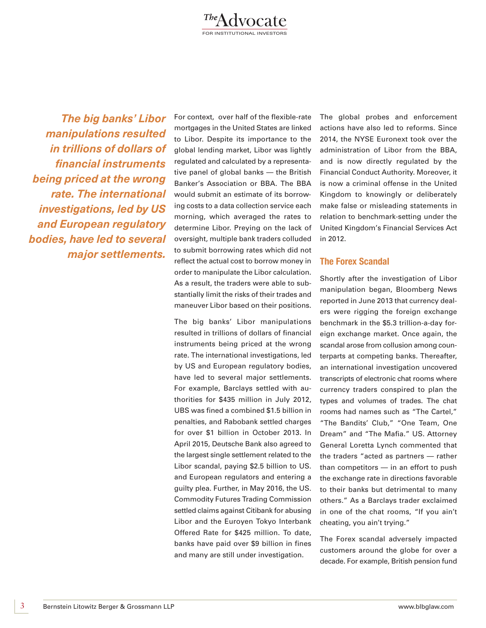*The big banks' Libor manipulations resulted in trillions of dollars of financial instruments being priced at the wrong rate. The international investigations, led by US and European regulatory bodies, have led to several major settlements.* 

For context, over half of the flexible-rate mortgages in the United States are linked to Libor. Despite its importance to the global lending market, Libor was lightly regulated and calculated by a representative panel of global banks — the British Banker's Association or BBA. The BBA would submit an estimate of its borrowing costs to a data collection service each morning, which averaged the rates to determine Libor. Preying on the lack of oversight, multiple bank traders colluded to submit borrowing rates which did not reflect the actual cost to borrow money in order to manipulate the Libor calculation. As a result, the traders were able to substantially limit the risks of their trades and maneuver Libor based on their positions.

The big banks' Libor manipulations resulted in trillions of dollars of financial instruments being priced at the wrong rate. The international investigations, led by US and European regulatory bodies, have led to several major settlements. For example, Barclays settled with authorities for \$435 million in July 2012, UBS was fined a combined \$1.5 billion in penalties, and Rabobank settled charges for over \$1 billion in October 2013. In April 2015, Deutsche Bank also agreed to the largest single settlement related to the Libor scandal, paying \$2.5 billion to US. and European regulators and entering a guilty plea. Further, in May 2016, the US. Commodity Futures Trading Commission settled claims against Citibank for abusing Libor and the Euroyen Tokyo Interbank Offered Rate for \$425 million. To date, banks have paid over \$9 billion in fines and many are still under investigation.

The global probes and enforcement actions have also led to reforms. Since 2014, the NYSE Euronext took over the administration of Libor from the BBA, and is now directly regulated by the Financial Conduct Authority. Moreover, it is now a criminal offense in the United Kingdom to knowingly or deliberately make false or misleading statements in relation to benchmark-setting under the United Kingdom's Financial Services Act in 2012.

## **The Forex Scandal**

Shortly after the investigation of Libor manipulation began, Bloomberg News reported in June 2013 that currency dealers were rigging the foreign exchange benchmark in the \$5.3 trillion-a-day foreign exchange market. Once again, the scandal arose from collusion among counterparts at competing banks. Thereafter, an international investigation uncovered transcripts of electronic chat rooms where currency traders conspired to plan the types and volumes of trades. The chat rooms had names such as "The Cartel," "The Bandits' Club," "One Team, One Dream" and "The Mafia." US. Attorney General Loretta Lynch commented that the traders "acted as partners — rather than competitors — in an effort to push the exchange rate in directions favorable to their banks but detrimental to many others." As a Barclays trader exclaimed in one of the chat rooms, "If you ain't cheating, you ain't trying."

The Forex scandal adversely impacted customers around the globe for over a decade. For example, British pension fund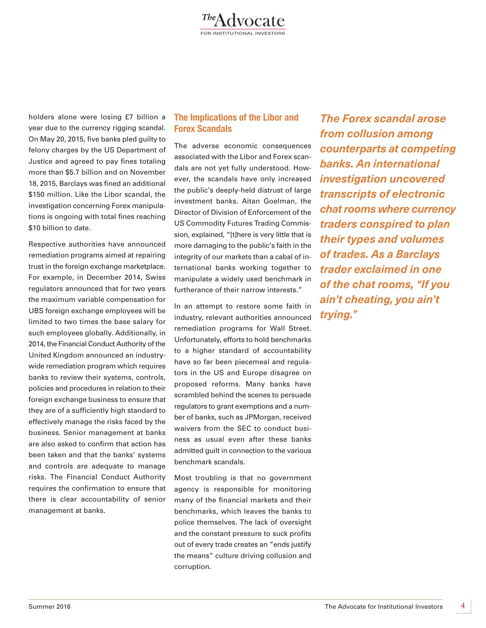holders alone were losing £7 billion a year due to the currency rigging scandal. On May 20, 2015, five banks pled guilty to felony charges by the US Department of Justice and agreed to pay fines totaling more than \$5.7 billion and on November 18, 2015, Barclays was fined an additional \$150 million. Like the Libor scandal, the investigation concerning Forex manipulations is ongoing with total fines reaching \$10 billion to date.

Respective authorities have announced remediation programs aimed at repairing trust in the foreign exchange marketplace. For example, in December 2014, Swiss regulators announced that for two years the maximum variable compensation for UBS foreign exchange employees will be limited to two times the base salary for such employees globally. Additionally, in 2014, the Financial Conduct Authority of the United Kingdom announced an industrywide remediation program which requires banks to review their systems, controls, policies and procedures in relation to their foreign exchange business to ensure that they are of a sufficiently high standard to effectively manage the risks faced by the business. Senior management at banks are also asked to confirm that action has been taken and that the banks' systems and controls are adequate to manage risks. The Financial Conduct Authority requires the confirmation to ensure that there is clear accountability of senior management at banks.

# **The Implications of the Libor and Forex Scandals**

The adverse economic consequences associated with the Libor and Forex scandals are not yet fully understood. However, the scandals have only increased the public's deeply-held distrust of large investment banks. Aitan Goelman, the Director of Division of Enforcement of the US Commodity Futures Trading Commission, explained, "[t]here is very little that is more damaging to the public's faith in the integrity of our markets than a cabal of international banks working together to manipulate a widely used benchmark in furtherance of their narrow interests."

In an attempt to restore some faith in industry, relevant authorities announced remediation programs for Wall Street. Unfortunately, efforts to hold benchmarks to a higher standard of accountability have so far been piecemeal and regulators in the US and Europe disagree on proposed reforms. Many banks have scrambled behind the scenes to persuade regulators to grant exemptions and a number of banks, such as JPMorgan, received waivers from the SEC to conduct business as usual even after these banks admitted guilt in connection to the various benchmark scandals.

Most troubling is that no government agency is responsible for monitoring many of the financial markets and their benchmarks, which leaves the banks to police themselves. The lack of oversight and the constant pressure to suck profits out of every trade creates an "ends justify the means" culture driving collusion and corruption.

*The Forex scandal arose from collusion among counterparts at competing banks. An international investigation uncovered transcripts of electronic chat rooms where currency traders conspired to plan their types and volumes of trades. As a Barclays trader exclaimed in one of the chat rooms, "If you ain't cheating, you ain't trying."*